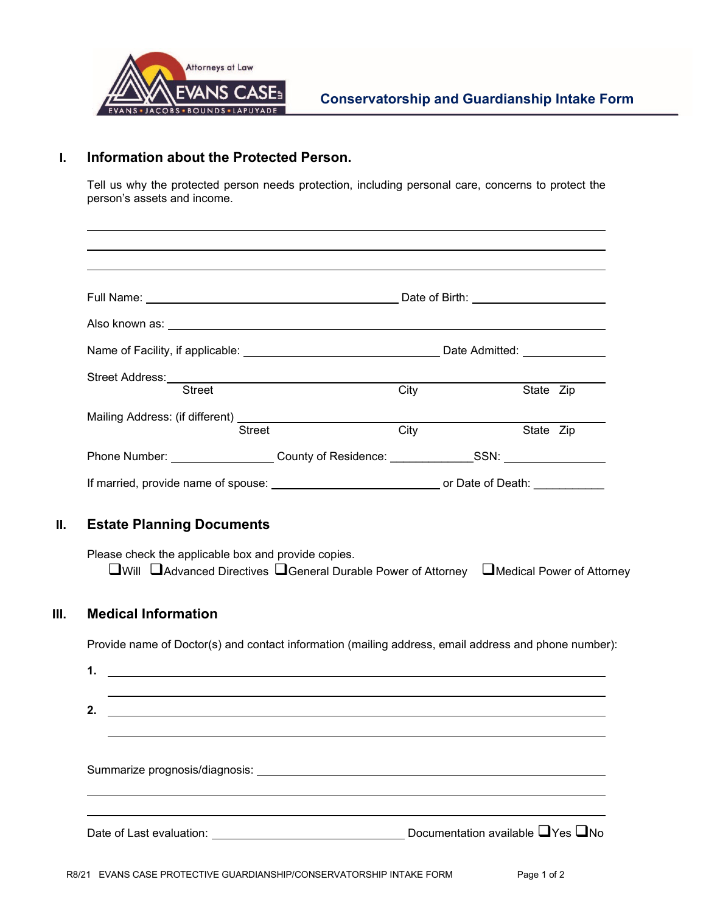

### **I. Information about the Protected Person.**

Tell us why the protected person needs protection, including personal care, concerns to protect the person's assets and income.

|                                  | Street                                                                                                                                                                              | City                                                                                                | State Zip |  |
|----------------------------------|-------------------------------------------------------------------------------------------------------------------------------------------------------------------------------------|-----------------------------------------------------------------------------------------------------|-----------|--|
|                                  | <b>Street</b>                                                                                                                                                                       | $\overline{\text{City}}$                                                                            | State Zip |  |
|                                  | Phone Number: ___________________County of Residence: _____________SSN: _______________                                                                                             |                                                                                                     |           |  |
|                                  |                                                                                                                                                                                     | If married, provide name of spouse: __________________________________ or Date of Death: __________ |           |  |
| <b>Estate Planning Documents</b> | Please check the applicable box and provide copies.<br>$\square$ Will $\square$ Advanced Directives $\square$ General Durable Power of Attorney $\square$ Medical Power of Attorney |                                                                                                     |           |  |
| <b>Medical Information</b>       |                                                                                                                                                                                     |                                                                                                     |           |  |
| 1.                               | Provide name of Doctor(s) and contact information (mailing address, email address and phone number):<br><u> 1989 - Johann Stoff, amerikansk politiker (d. 1989)</u>                 |                                                                                                     |           |  |
| 2.                               | <u> 1989 - Johann Stoff, deutscher Stoffen und der Stoffen und der Stoffen und der Stoffen und der Stoffen und de</u>                                                               |                                                                                                     |           |  |